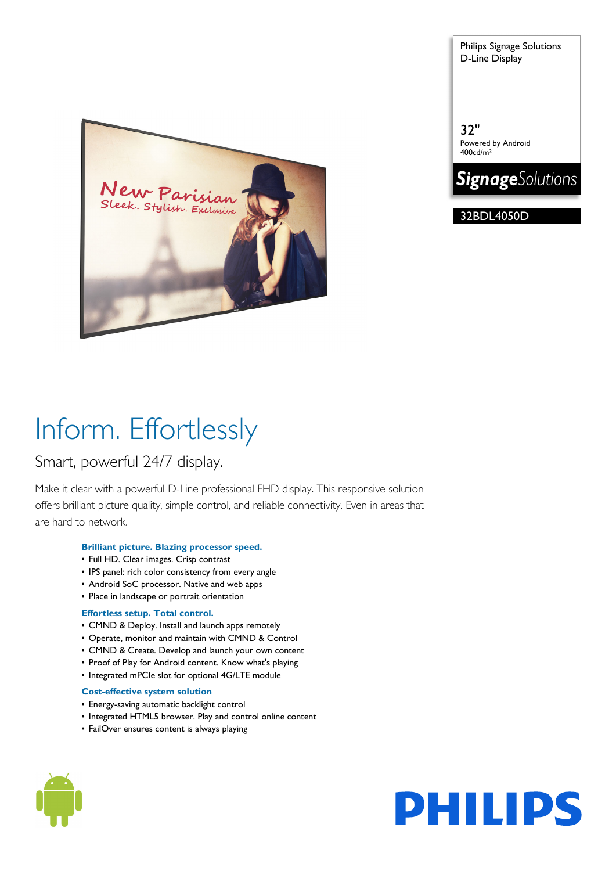tylish. Exclusive

Philips Signage Solutions D-Line Display

32" Powered by Android 400cd/m²



32BDL4050D

# Inform. Effortlessly

# Smart, powerful 24/7 display.

Make it clear with a powerful D-Line professional FHD display. This responsive solution offers brilliant picture quality, simple control, and reliable connectivity. Even in areas that are hard to network.

### **Brilliant picture. Blazing processor speed.**

- Full HD. Clear images. Crisp contrast
- IPS panel: rich color consistency from every angle
- Android SoC processor. Native and web apps
- Place in landscape or portrait orientation

### **Effortless setup. Total control.**

- CMND & Deploy. Install and launch apps remotely
- Operate, monitor and maintain with CMND & Control
- CMND & Create. Develop and launch your own content
- Proof of Play for Android content. Know what's playing
- Integrated mPCIe slot for optional 4G/LTE module

### **Cost-effective system solution**

- Energy-saving automatic backlight control
- Integrated HTML5 browser. Play and control online content
- FailOver ensures content is always playing



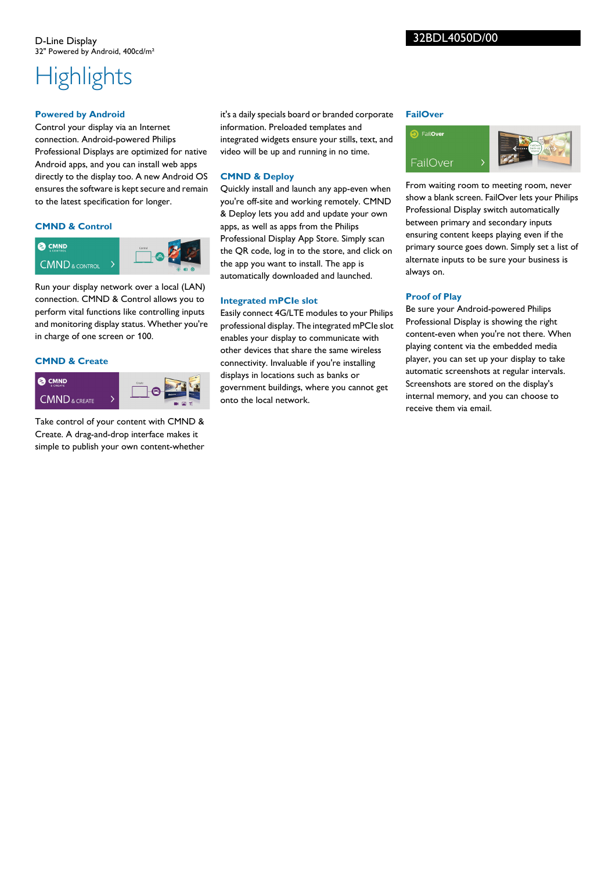# **Highlights**

## **Powered by Android**

Control your display via an Internet connection. Android-powered Philips Professional Displays are optimized for native Android apps, and you can install web apps directly to the display too. A new Android OS ensures the software is kept secure and remain to the latest specification for longer.

## **CMND & Control**



Run your display network over a local (LAN) connection. CMND & Control allows you to perform vital functions like controlling inputs and monitoring display status. Whether you're in charge of one screen or 100.

#### **CMND & Create**



Take control of your content with CMND & Create. A drag-and-drop interface makes it simple to publish your own content-whether

it's a daily specials board or branded corporate information. Preloaded templates and integrated widgets ensure your stills, text, and video will be up and running in no time.

#### **CMND & Deploy**

Quickly install and launch any app-even when you're off-site and working remotely. CMND & Deploy lets you add and update your own apps, as well as apps from the Philips Professional Display App Store. Simply scan the QR code, log in to the store, and click on the app you want to install. The app is automatically downloaded and launched.

#### **Integrated mPCIe slot**

Easily connect 4G/LTE modules to your Philips professional display. The integrated mPCIe slot enables your display to communicate with other devices that share the same wireless connectivity. Invaluable if you're installing displays in locations such as banks or government buildings, where you cannot get onto the local network.

#### **FailOver**



From waiting room to meeting room, never show a blank screen. FailOver lets your Philips Professional Display switch automatically between primary and secondary inputs ensuring content keeps playing even if the primary source goes down. Simply set a list of alternate inputs to be sure your business is always on.

#### **Proof of Play**

Be sure your Android-powered Philips Professional Display is showing the right content-even when you're not there. When playing content via the embedded media player, you can set up your display to take automatic screenshots at regular intervals. Screenshots are stored on the display's internal memory, and you can choose to receive them via email.